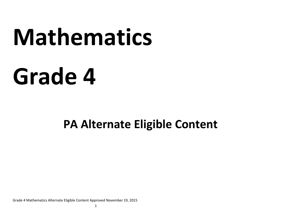# **Mathematics**

## **Grade 4**

### **PA Alternate Eligible Content**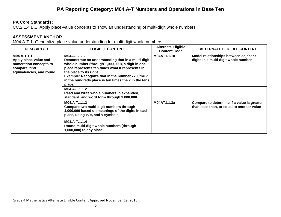#### **PA Reporting Category: M04.A-T Numbers and Operations in Base Ten**

#### **PA Core Standards:**

CC.2.1.4.B.1 Apply place‐value concepts to show an understanding of multi‐digit whole numbers.

#### **ASSESSMENT ANCHOR**

M04.A-T.1 Generalize place-value understanding for multi-digit whole numbers.

| <b>DESCRIPTOR</b>                                                                                            | <b>ELIGIBLE CONTENT</b>                                                                                                                                                                                                                                                                                                      | <b>Alternate Eligible</b><br><b>Content Code</b> | <b>ALTERNATE ELIGIBLE CONTENT</b>                                                        |
|--------------------------------------------------------------------------------------------------------------|------------------------------------------------------------------------------------------------------------------------------------------------------------------------------------------------------------------------------------------------------------------------------------------------------------------------------|--------------------------------------------------|------------------------------------------------------------------------------------------|
| M04.A-T.1.1<br>Apply place-value and<br>numeration concepts to<br>compare, find<br>equivalencies, and round. | M04.A-T.1.1.1<br>Demonstrate an understanding that in a multi-digit<br>whole number (through 1,000,000), a digit in one<br>place represents ten times what it represents in<br>the place to its right.<br>Example: Recognize that in the number 770, the 7<br>in the hundreds place is ten times the 7 in the tens<br>place. | M04AT1.1.1a                                      | Model relationships between adjacent<br>digits in a multi-digit whole number             |
|                                                                                                              | M04.A-T.1.1.2<br>Read and write whole numbers in expanded,<br>standard, and word form through 1,000,000.                                                                                                                                                                                                                     |                                                  |                                                                                          |
|                                                                                                              | M04.A-T.1.1.3<br>Compare two multi-digit numbers through<br>1,000,000 based on meanings of the digits in each<br>place, using $>$ , =, and < symbols.                                                                                                                                                                        | M04AT1.1.3a                                      | Compare to determine if a value is greater<br>than, less than, or equal to another value |
|                                                                                                              | M04.A-T.1.1.4<br>Round multi-digit whole numbers (through<br>1,000,000) to any place.                                                                                                                                                                                                                                        |                                                  |                                                                                          |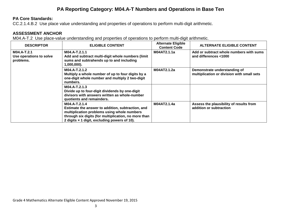#### **PA Reporting Category: M04.A-T Numbers and Operations in Base Ten**

#### **PA Core Standards:**

CC.2.1.4.B.2 Use place value understanding and properties of operations to perform multi‐digit arithmetic.

#### **ASSESSMENT ANCHOR**

M04.A-T.2 Use place-value understanding and properties of operations to perform multi-digit arithmetic.

| <b>DESCRIPTOR</b>                                   | <b>ELIGIBLE CONTENT</b>                                                                                                                                                                                                   | <b>Alternate Eligible</b><br><b>Content Code</b> | <b>ALTERNATE ELIGIBLE CONTENT</b>                                          |
|-----------------------------------------------------|---------------------------------------------------------------------------------------------------------------------------------------------------------------------------------------------------------------------------|--------------------------------------------------|----------------------------------------------------------------------------|
| M04.A-T.2.1<br>Use operations to solve<br>problems. | M04.A-T.2.1.1<br>Add and subtract multi-digit whole numbers (limit<br>sums and subtrahends up to and including<br>$1,000,000$ ).                                                                                          | M04AT2.1.1a                                      | Add or subtract whole numbers with sums<br>and differences <1000           |
|                                                     | M04.A-T.2.1.2<br>Multiply a whole number of up to four digits by a<br>one-digit whole number and multiply 2 two-digit<br>numbers.                                                                                         | M04AT2.1.2a                                      | Demonstrate understanding of<br>multiplication or division with small sets |
|                                                     | M04.A-T.2.1.3<br>Divide up to four-digit dividends by one-digit<br>divisors with answers written as whole-number<br>quotients and remainders.                                                                             |                                                  |                                                                            |
|                                                     | M04.A-T.2.1.4<br>Estimate the answer to addition, subtraction, and<br>multiplication problems using whole numbers<br>through six digits (for multiplication, no more than<br>2 digits x 1 digit, excluding powers of 10). | M04AT2.1.4a                                      | Assess the plausibility of results from<br>addition or subtraction         |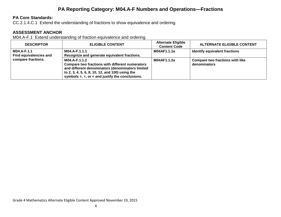#### **PA Reporting Category: M04.A-F Numbers and Operations—Fractions**

#### **PA Core Standards:**

CC.2.1.4.C.1 Extend the understanding of fractions to show equivalence and ordering.

#### **ASSESSMENT ANCHOR**

M04.A-F.1 Extend understanding of fraction equivalence and ordering.

| <b>DESCRIPTOR</b>                            | <b>ELIGIBLE CONTENT</b>                                                                                                                                                                                                            | <b>Alternate Eligible</b><br><b>Content Code</b> | <b>ALTERNATE ELIGIBLE CONTENT</b>               |
|----------------------------------------------|------------------------------------------------------------------------------------------------------------------------------------------------------------------------------------------------------------------------------------|--------------------------------------------------|-------------------------------------------------|
| M04.A-F.1.1<br><b>Find equivalencies and</b> | M04.A-F.1.1.1<br>Recognize and generate equivalent fractions.                                                                                                                                                                      | M04AF1.1.1a                                      | Identify equivalent fractions                   |
| compare fractions.                           | M04.A-F.1.1.2<br>Compare two fractions with different numerators<br>and different denominators (denominators limited<br>to 2, 3, 4, 5, 6, 8, 10, 12, and 100) using the<br>symbols $>$ , $=$ , or $<$ and justify the conclusions. | M04AF1.1.2a                                      | Compare two fractions with like<br>denominators |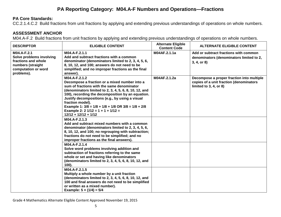#### **PA Reporting Category: M04.A-F Numbers and Operations—Fractions**

#### **PA Core Standards:**

CC.2.1.4.C.2 Build fractions from unit fractions by applying and extending previous understandings of operations on whole numbers.

#### **ASSESSMENT ANCHOR**

M04.A-F.2 Build fractions from unit fractions by applying and extending previous understandings of operations on whole numbers.

| <b>DESCRIPTOR</b>                                                                                                        | <b>ELIGIBLE CONTENT</b>                                                                                                                                                                                                                                                                                                                                                                                                                         | <b>Alternate Eligible</b><br><b>Content Code</b> | <b>ALTERNATE ELIGIBLE CONTENT</b>                                                                                   |
|--------------------------------------------------------------------------------------------------------------------------|-------------------------------------------------------------------------------------------------------------------------------------------------------------------------------------------------------------------------------------------------------------------------------------------------------------------------------------------------------------------------------------------------------------------------------------------------|--------------------------------------------------|---------------------------------------------------------------------------------------------------------------------|
| M04.A-F.2.1<br>Solve problems involving<br>fractions and whole<br>numbers (straight<br>computation or word<br>problems). | M04.A-F.2.1.1<br>Add and subtract fractions with a common<br>denominator (denominators limited to 2, 3, 4, 5, 6,<br>8, 10, 12, and 100; answers do not need to be<br>simplified; and no improper fractions as the final<br>answer).                                                                                                                                                                                                             | M04AF.2.1.1a                                     | Add or subtract fractions with common<br>denominators (denominators limited to 2,<br>3, 4, or 8)                    |
|                                                                                                                          | M04.A-F.2.1.2<br>Decompose a fraction or a mixed number into a<br>sum of fractions with the same denominator<br>(denominators limited to 2, 3, 4, 5, 6, 8, 10, 12, and<br>100), recording the decomposition by an equation.<br>Justify decompositions (e.g., by using a visual<br>fraction model).<br>Example 1: $3/8 = 1/8 + 1/8 + 1/8$ OR $3/8 = 1/8 + 2/8$<br>Example 2: $2 \frac{1}{12} = 1 + 1 + \frac{1}{12} =$<br>$12/12 + 12/12 + 1/12$ | M04AF.2.1.2a                                     | Decompose a proper fraction into multiple<br>copies of a unit fraction (denominators<br>limited to $3, 4$ , or $8)$ |
|                                                                                                                          | M04.A-F.2.1.3<br>Add and subtract mixed numbers with a common<br>denominator (denominators limited to 2, 3, 4, 5, 6,<br>8, 10, 12, and 100; no regrouping with subtraction;<br>fractions do not need to be simplified; and no<br>improper fractions as the final answers).                                                                                                                                                                      |                                                  |                                                                                                                     |
|                                                                                                                          | M04.A-F.2.1.4<br>Solve word problems involving addition and<br>subtraction of fractions referring to the same<br>whole or set and having like denominators<br>(denominators limited to 2, 3, 4, 5, 6, 8, 10, 12, and<br>100).                                                                                                                                                                                                                   |                                                  |                                                                                                                     |
|                                                                                                                          | M04.A-F.2.1.5<br>Multiply a whole number by a unit fraction<br>(denominators limited to 2, 3, 4, 5, 6, 8, 10, 12, and<br>100 and final answers do not need to be simplified<br>or written as a mixed number).<br>Example: $5 \times (1/4) = 5/4$                                                                                                                                                                                                |                                                  |                                                                                                                     |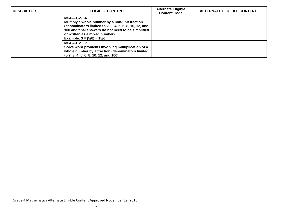| <b>DESCRIPTOR</b> | <b>ELIGIBLE CONTENT</b>                                                                                                                                                                                                                               | <b>Alternate Eligible</b><br><b>Content Code</b> | <b>ALTERNATE ELIGIBLE CONTENT</b> |
|-------------------|-------------------------------------------------------------------------------------------------------------------------------------------------------------------------------------------------------------------------------------------------------|--------------------------------------------------|-----------------------------------|
|                   | M04.A-F.2.1.6<br>Multiply a whole number by a non-unit fraction<br>(denominators limited to 2, 3, 4, 5, 6, 8, 10, 12, and<br>100 and final answers do not need to be simplified<br>or written as a mixed number).<br>Example: $3 \times (5/6) = 15/6$ |                                                  |                                   |
|                   | M04.A-F.2.1.7<br>Solve word problems involving multiplication of a<br>whole number by a fraction (denominators limited<br>to 2, 3, 4, 5, 6, 8, 10, 12, and 100).                                                                                      |                                                  |                                   |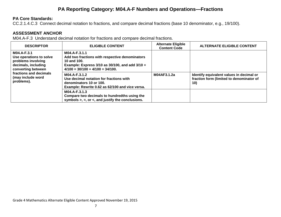#### **PA Reporting Category: M04.A-F Numbers and Operations—Fractions**

#### **PA Core Standards:**

CC.2.1.4.C.3 Connect decimal notation to fractions, and compare decimal fractions (base 10 denominator, e.g., 19/100).

#### **ASSESSMENT ANCHOR**

M04.A-F.3 Understand decimal notation for fractions and compare decimal fractions.

| <b>DESCRIPTOR</b>                                                                                                                                                      | <b>ELIGIBLE CONTENT</b>                                                                                                                                                        | <b>Alternate Eligible</b><br><b>Content Code</b> | <b>ALTERNATE ELIGIBLE CONTENT</b>                                                           |
|------------------------------------------------------------------------------------------------------------------------------------------------------------------------|--------------------------------------------------------------------------------------------------------------------------------------------------------------------------------|--------------------------------------------------|---------------------------------------------------------------------------------------------|
| M04.A-F.3.1<br>Use operations to solve<br>problems involving<br>decimals, including<br>converting between<br>fractions and decimals<br>(may include word<br>problems). | M04.A-F.3.1.1<br>Add two fractions with respective denominators<br>10 and 100.<br>Example: Express $3/10$ as $30/100$ , and add $3/10 +$<br>$4/100 = 30/100 + 4/100 = 34/100.$ |                                                  |                                                                                             |
|                                                                                                                                                                        | M04.A-F.3.1.2<br>Use decimal notation for fractions with<br>denominators 10 or 100.<br>Example: Rewrite 0.62 as 62/100 and vice versa.                                         | M04AF3.1.2a                                      | Identify equivalent values in decimal or<br>fraction form (limited to denominator of<br>10) |
|                                                                                                                                                                        | M04.A-F.3.1.3<br>Compare two decimals to hundredths using the<br>symbols $>$ , $=$ , or $\lt$ , and justify the conclusions.                                                   |                                                  |                                                                                             |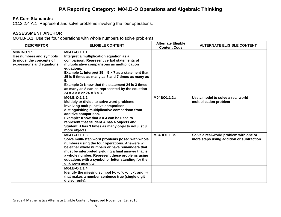#### **PA Reporting Category: M04.B-O Operations and Algebraic Thinking**

#### **PA Core Standards:**

CC.2.2.4.A.1 Represent and solve problems involving the four operations.

#### **ASSESSMENT ANCHOR**

M04.B-O.1 Use the four operations with whole numbers to solve problems.

| <b>DESCRIPTOR</b>                                                                                | <b>ELIGIBLE CONTENT</b>                                                                                                                                                                                                                                                                                                                                                                                                                           | <b>Alternate Eligible</b><br><b>Content Code</b> | <b>ALTERNATE ELIGIBLE CONTENT</b>                                                  |
|--------------------------------------------------------------------------------------------------|---------------------------------------------------------------------------------------------------------------------------------------------------------------------------------------------------------------------------------------------------------------------------------------------------------------------------------------------------------------------------------------------------------------------------------------------------|--------------------------------------------------|------------------------------------------------------------------------------------|
| M04.B-O.1.1<br>Use numbers and symbols<br>to model the concepts of<br>expressions and equations. | M04.B-O.1.1.1<br>Interpret a multiplication equation as a<br>comparison. Represent verbal statements of<br>multiplicative comparisons as multiplication<br>equations.<br>Example 1: Interpret $35 = 5 \times 7$ as a statement that<br>35 is 5 times as many as 7 and 7 times as many as<br>5.<br>Example 2: Know that the statement 24 is 3 times<br>as many as 8 can be represented by the equation<br>$24 = 3 \times 8$ or $24 = 8 \times 3$ . |                                                  |                                                                                    |
|                                                                                                  | M04.B-O.1.1.2<br>Multiply or divide to solve word problems<br>involving multiplicative comparison,<br>distinguishing multiplicative comparison from<br>additive comparison.<br>Example: Know that $3 \times 4$ can be used to<br>represent that Student A has 4 objects and<br>Student B has 3 times as many objects not just 3<br>more objects.                                                                                                  | M04BO1.1.2a                                      | Use a model to solve a real-world<br>multiplication problem                        |
|                                                                                                  | M04.B-O.1.1.3<br>Solve multi-step word problems posed with whole<br>numbers using the four operations. Answers will<br>be either whole numbers or have remainders that<br>must be interpreted yielding a final answer that is<br>a whole number. Represent these problems using<br>equations with a symbol or letter standing for the<br>unknown quantity.                                                                                        | M04BO1.1.3a                                      | Solve a real-world problem with one or<br>more steps using addition or subtraction |
|                                                                                                  | M04.B-O.1.1.4<br>Identify the missing symbol $(+, -, x, \div, =, <, and >)$<br>that makes a number sentence true (single-digit<br>divisor only).                                                                                                                                                                                                                                                                                                  |                                                  |                                                                                    |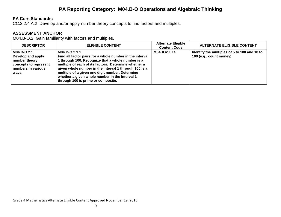#### **PA Reporting Category: M04.B-O Operations and Algebraic Thinking**

#### **PA Core Standards:**

CC.2.2.4.A.2 Develop and/or apply number theory concepts to find factors and multiples.

#### **ASSESSMENT ANCHOR**

M04.B-O.2 Gain familiarity with factors and multiples.

| <b>DESCRIPTOR</b>                                                                                          | <b>ELIGIBLE CONTENT</b>                                                                                                                                                                                                                                                                                                                                                                    | <b>Alternate Eligible</b><br><b>Content Code</b> | <b>ALTERNATE ELIGIBLE CONTENT</b>                                       |
|------------------------------------------------------------------------------------------------------------|--------------------------------------------------------------------------------------------------------------------------------------------------------------------------------------------------------------------------------------------------------------------------------------------------------------------------------------------------------------------------------------------|--------------------------------------------------|-------------------------------------------------------------------------|
| M04.B-O.2.1.<br>Develop and apply<br>number theory<br>concepts to represent<br>numbers in various<br>ways. | M04.B-O.2.1.1<br>Find all factor pairs for a whole number in the interval<br>1 through 100. Recognize that a whole number is a<br>multiple of each of its factors. Determine whether a<br>given whole number in the interval 1 through 100 is a<br>multiple of a given one digit number. Determine<br>whether a given whole number in the interval 1<br>through 100 is prime or composite. | M04BO2.1.1a                                      | Identify the multiples of 5 to 100 and 10 to<br>100 (e.g., count money) |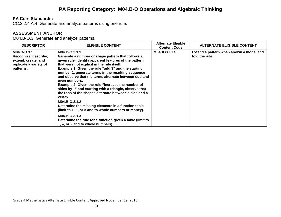#### **PA Core Standards:**

CC.2.2.4.A.4 Generate and analyze patterns using one rule.

#### **ASSESSMENT ANCHOR**

M04.B-O.3 Generate and analyze patterns.

| <b>DESCRIPTOR</b>                                                                                 | <b>ELIGIBLE CONTENT</b>                                                                                                                                                                                                                                                                                                                                                                                                                                                                                                                           | <b>Alternate Eligible</b><br><b>Content Code</b> | <b>ALTERNATE ELIGIBLE CONTENT</b>                        |
|---------------------------------------------------------------------------------------------------|---------------------------------------------------------------------------------------------------------------------------------------------------------------------------------------------------------------------------------------------------------------------------------------------------------------------------------------------------------------------------------------------------------------------------------------------------------------------------------------------------------------------------------------------------|--------------------------------------------------|----------------------------------------------------------|
| M04.B-0.3.1<br>Recognize, describe,<br>extend, create, and<br>replicate a variety of<br>patterns. | M04.B-O.3.1.1<br>Generate a number or shape pattern that follows a<br>given rule. Identify apparent features of the pattern<br>that were not explicit in the rule itself.<br>Example 1: Given the rule "add 3" and the starting<br>number 1, generate terms in the resulting sequence<br>and observe that the terms alternate between odd and<br>even numbers.<br>Example 2: Given the rule "increase the number of<br>sides by 1" and starting with a triangle, observe that<br>the tops of the shapes alternate between a side and a<br>vertex. | M04BO3.1.1a                                      | Extend a pattern when shown a model and<br>told the rule |
|                                                                                                   | M04.B-O.3.1.2<br>Determine the missing elements in a function table<br>(limit to $+$ , $-$ , or $\times$ and to whole numbers or money).                                                                                                                                                                                                                                                                                                                                                                                                          |                                                  |                                                          |
|                                                                                                   | M04.B-O.3.1.3<br>Determine the rule for a function given a table (limit to<br>$+, -$ , or $\times$ and to whole numbers).                                                                                                                                                                                                                                                                                                                                                                                                                         |                                                  |                                                          |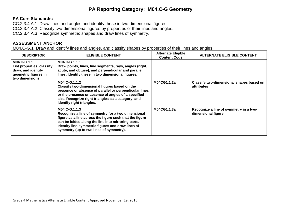#### **PA Reporting Category: M04.C-G Geometry**

#### **PA Core Standards:**

CC.2.3.4.A.1 Draw lines and angles and identify these in two‐dimensional figures. CC.2.3.4.A.2 Classify two-dimensional figures by properties of their lines and angles. CC.2.3.4.A.3 Recognize symmetric shapes and draw lines of symmetry.

#### **ASSESSMENT ANCHOR**

M04.C-G.1 Draw and identify lines and angles, and classify shapes by properties of their lines and angles.

| <b>DESCRIPTOR</b>                                                                                          | <b>ELIGIBLE CONTENT</b>                                                                                                                                                                                                                                                              | <b>Alternate Eligible</b><br><b>Content Code</b> | <b>ALTERNATE ELIGIBLE CONTENT</b>                            |
|------------------------------------------------------------------------------------------------------------|--------------------------------------------------------------------------------------------------------------------------------------------------------------------------------------------------------------------------------------------------------------------------------------|--------------------------------------------------|--------------------------------------------------------------|
| M04.C-G.1.1<br>List properties, classify,<br>draw, and identify<br>geometric figures in<br>two dimensions. | M04.C-G.1.1.1<br>Draw points, lines, line segments, rays, angles (right,<br>acute, and obtuse), and perpendicular and parallel<br>lines. Identify these in two dimensional figures.                                                                                                  |                                                  |                                                              |
|                                                                                                            | M04.C-G.1.1.2<br>Classify two-dimensional figures based on the<br>presence or absence of parallel or perpendicular lines<br>or the presence or absence of angles of a specified<br>size. Recognize right triangles as a category, and<br>identify right triangles.                   | M04CG1.1.2a                                      | Classify two-dimensional shapes based on<br>attributes       |
|                                                                                                            | M04.C-G.1.1.3<br>Recognize a line of symmetry for a two dimensional<br>figure as a line across the figure such that the figure<br>can be folded along the line into mirroring parts.<br>Identify line-symmetric figures and draw lines of<br>symmetry (up to two lines of symmetry). | M04CG1.1.3a                                      | Recognize a line of symmetry in a two-<br>dimensional figure |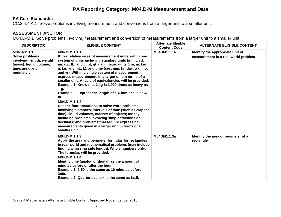#### **PA Reporting Category: M04.D-M Measurement and Data**

#### **PA Core Standards:**

CC.2.4.4.A.1 Solve problems involving measurement and conversions from a larger unit to a smaller unit.

#### **ASSESSMENT ANCHOR**

M04.D-M.1 Solve problems involving measurement and conversion of measurements from a larger unit to a smaller unit.

| <b>DESCRIPTOR</b>                                                                                                    | <b>ELIGIBLE CONTENT</b>                                                                                                                                                                                                                                                                                                                                                                                                                                                                                                                                       | <b>Alternate Eligible</b><br><b>Content Code</b> | <b>ALTERNATE ELIGIBLE CONTENT</b>                                       |
|----------------------------------------------------------------------------------------------------------------------|---------------------------------------------------------------------------------------------------------------------------------------------------------------------------------------------------------------------------------------------------------------------------------------------------------------------------------------------------------------------------------------------------------------------------------------------------------------------------------------------------------------------------------------------------------------|--------------------------------------------------|-------------------------------------------------------------------------|
| M04.D-M.1.1<br>Solve problems<br>involving length, weight<br>(mass), liquid volume,<br>time, area, and<br>perimeter. | M04.D-M.1.1.1<br>Know relative sizes of measurement units within one<br>system of units including standard units (in., ft, yd,<br>mi; oz., lb; and c, pt, qt, gal), metric units (cm, m, km;<br>g, kg; and mL, L), and time (sec, min, hr, day, wk, mo,<br>and yr). Within a single system of measurement,<br>express measurements in a larger unit in terms of a<br>smaller unit. A table of equivalencies will be provided.<br>Example 1: Know that 1 kg is 1,000 times as heavy as<br>1 g.<br>Example 2: Express the length of a 4-foot snake as 48<br>in. | M04DM1.1.1a                                      | Identify the appropriate unit of<br>measurement in a real-world problem |
|                                                                                                                      | M04.D-M.1.1.2<br>Use the four operations to solve word problems<br>involving distances, intervals of time (such as elapsed<br>time), liquid volumes, masses of objects; money,<br>including problems involving simple fractions or<br>decimals; and problems that require expressing<br>measurements given in a larger unit in terms of a<br>smaller unit.                                                                                                                                                                                                    |                                                  |                                                                         |
|                                                                                                                      | M04.D-M.1.1.3<br>Apply the area and perimeter formulas for rectangles<br>in real-world and mathematical problems (may include<br>finding a missing side length). Whole numbers only.<br>The formulas will be provided.                                                                                                                                                                                                                                                                                                                                        | M04DM1.1.3a                                      | Identify the area or perimeter of a<br>rectangle                        |
|                                                                                                                      | M04.D-M.1.1.4<br>Identify time (analog or digital) as the amount of<br>minutes before or after the hour.<br>Example 1: 2:50 is the same as 10 minutes before<br>3:00.<br>Example 2: Quarter past six is the same as 6:15.                                                                                                                                                                                                                                                                                                                                     |                                                  |                                                                         |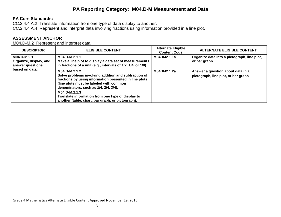#### **PA Reporting Category: M04.D-M Measurement and Data**

#### **PA Core Standards:**

CC.2.4.4.A.2 Translate information from one type of data display to another. CC.2.4.4.A.4 Represent and interpret data involving fractions using information provided in a line plot.

#### **ASSESSMENT ANCHOR**

M04.D-M.2 Represent and interpret data.

| <b>DESCRIPTOR</b>                                                           | <b>ELIGIBLE CONTENT</b>                                                                                                                                                                                             | <b>Alternate Eligible</b><br><b>Content Code</b> | <b>ALTERNATE ELIGIBLE CONTENT</b>                                        |
|-----------------------------------------------------------------------------|---------------------------------------------------------------------------------------------------------------------------------------------------------------------------------------------------------------------|--------------------------------------------------|--------------------------------------------------------------------------|
| M04.D-M.2.1<br>Organize, display, and<br>answer questions<br>based on data. | M04.D-M.2.1.1<br>Make a line plot to display a data set of measurements<br>in fractions of a unit (e.g., intervals of 1/2, 1/4, or 1/8).                                                                            | M04DM2.1.1a                                      | Organize data into a pictograph, line plot,<br>or bar graph              |
|                                                                             | M04.D-M.2.1.2<br>Solve problems involving addition and subtraction of<br>fractions by using information presented in line plots<br>(line plots must be labeled with common<br>denominators, such as 1/4, 2/4, 3/4). | M04DM2.1.2a                                      | Answer a question about data in a<br>pictograph, line plot, or bar graph |
|                                                                             | M04.D-M.2.1.3<br>Translate information from one type of display to<br>another (table, chart, bar graph, or pictograph).                                                                                             |                                                  |                                                                          |